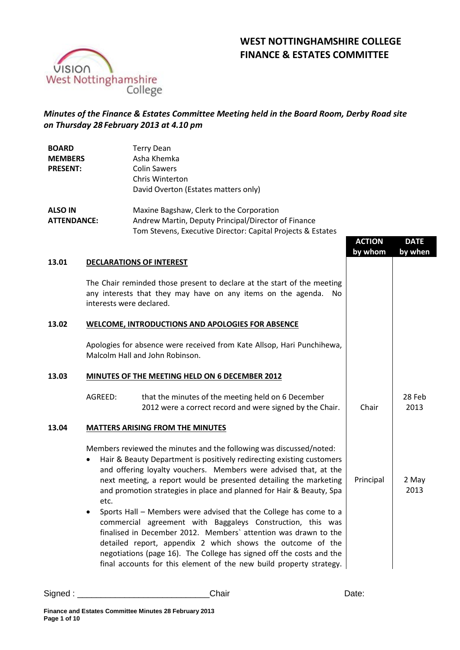# **WEST NOTTINGHAMSHIRE COLLEGE FINANCE & ESTATES COMMITTEE**



## *Minutes of the Finance & Estates Committee Meeting held in the Board Room, Derby Road site on Thursday 28 February 2013 at 4.10 pm*

| <b>BOARD</b>       | <b>Terry Dean</b>                                   |
|--------------------|-----------------------------------------------------|
| <b>MEMBERS</b>     | Asha Khemka                                         |
| <b>PRESENT:</b>    | <b>Colin Sawers</b>                                 |
|                    | Chris Winterton                                     |
|                    | David Overton (Estates matters only)                |
| <b>ALSO IN</b>     | Maxine Bagshaw, Clerk to the Corporation            |
| <b>ATTENDANCE:</b> | Andrew Martin, Deputy Principal/Director of Finance |

Tom Stevens, Executive Director: Capital Projects & Estates

## **ACTION by whom DATE by when 13.01 DECLARATIONS OF INTEREST** The Chair reminded those present to declare at the start of the meeting any interests that they may have on any items on the agenda. No interests were declared. **13.02 WELCOME, INTRODUCTIONS AND APOLOGIES FOR ABSENCE**  Apologies for absence were received from Kate Allsop, Hari Punchihewa, Malcolm Hall and John Robinson. **13.03 MINUTES OF THE MEETING HELD ON 6 DECEMBER 2012** AGREED: that the minutes of the meeting held on 6 December 2012 were a correct record and were signed by the Chair.  $\vert$  Chair 28 Feb 2013 **13.04 MATTERS ARISING FROM THE MINUTES** Members reviewed the minutes and the following was discussed/noted: • Hair & Beauty Department is positively redirecting existing customers and offering loyalty vouchers. Members were advised that, at the next meeting, a report would be presented detailing the marketing and promotion strategies in place and planned for Hair & Beauty, Spa etc. • Sports Hall – Members were advised that the College has come to a commercial agreement with Baggaleys Construction, this was finalised in December 2012. Members` attention was drawn to the detailed report, appendix 2 which shows the outcome of the negotiations (page 16). The College has signed off the costs and the final accounts for this element of the new build property strategy. Principal | 2 May 2013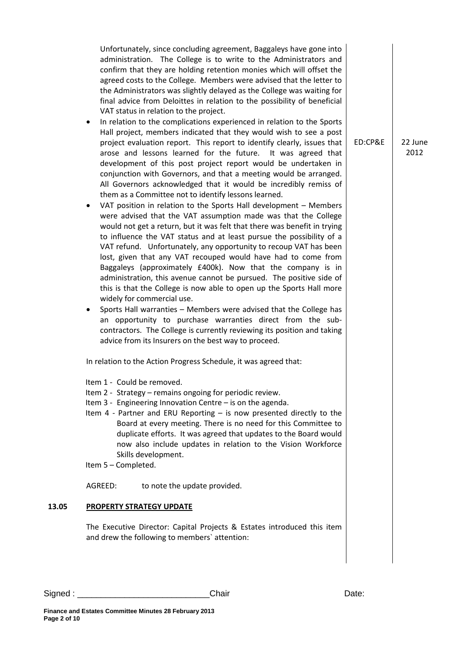Unfortunately, since concluding agreement, Baggaleys have gone into administration. The College is to write to the Administrators and confirm that they are holding retention monies which will offset the agreed costs to the College. Members were advised that the letter to the Administrators was slightly delayed as the College was waiting for final advice from Deloittes in relation to the possibility of beneficial VAT status in relation to the project.

- In relation to the complications experienced in relation to the Sports Hall project, members indicated that they would wish to see a post project evaluation report. This report to identify clearly, issues that arose and lessons learned for the future. It was agreed that development of this post project report would be undertaken in conjunction with Governors, and that a meeting would be arranged. All Governors acknowledged that it would be incredibly remiss of them as a Committee not to identify lessons learned.
- VAT position in relation to the Sports Hall development Members were advised that the VAT assumption made was that the College would not get a return, but it was felt that there was benefit in trying to influence the VAT status and at least pursue the possibility of a VAT refund. Unfortunately, any opportunity to recoup VAT has been lost, given that any VAT recouped would have had to come from Baggaleys (approximately £400k). Now that the company is in administration, this avenue cannot be pursued. The positive side of this is that the College is now able to open up the Sports Hall more widely for commercial use.
- Sports Hall warranties Members were advised that the College has an opportunity to purchase warranties direct from the subcontractors. The College is currently reviewing its position and taking advice from its Insurers on the best way to proceed.

In relation to the Action Progress Schedule, it was agreed that:

- Item 1 Could be removed.
- Item 2 Strategy remains ongoing for periodic review.
- Item 3 Engineering Innovation Centre is on the agenda.
- Item 4 Partner and ERU Reporting is now presented directly to the Board at every meeting. There is no need for this Committee to duplicate efforts. It was agreed that updates to the Board would now also include updates in relation to the Vision Workforce Skills development.

Item 5 – Completed.

AGREED: to note the update provided.

#### **13.05 PROPERTY STRATEGY UPDATE**

The Executive Director: Capital Projects & Estates introduced this item and drew the following to members` attention:

ED:CP&E 22 June 2012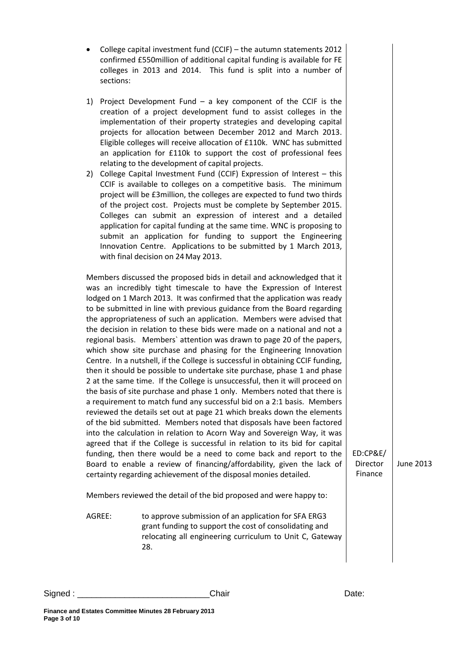- 1) Project Development Fund a key component of the CCIF is the creation of a project development fund to assist colleges in the implementation of their property strategies and developing capital projects for allocation between December 2012 and March 2013. Eligible colleges will receive allocation of £110k. WNC has submitted an application for £110k to support the cost of professional fees relating to the development of capital projects.
- 2) College Capital Investment Fund (CCIF) Expression of Interest this CCIF is available to colleges on a competitive basis. The minimum project will be £3million, the colleges are expected to fund two thirds of the project cost. Projects must be complete by September 2015. Colleges can submit an expression of interest and a detailed application for capital funding at the same time. WNC is proposing to submit an application for funding to support the Engineering Innovation Centre. Applications to be submitted by 1 March 2013, with final decision on 24May 2013.

Members discussed the proposed bids in detail and acknowledged that it was an incredibly tight timescale to have the Expression of Interest lodged on 1 March 2013. It was confirmed that the application was ready to be submitted in line with previous guidance from the Board regarding the appropriateness of such an application. Members were advised that the decision in relation to these bids were made on a national and not a regional basis. Members` attention was drawn to page 20 of the papers, which show site purchase and phasing for the Engineering Innovation Centre. In a nutshell, if the College is successful in obtaining CCIF funding, then it should be possible to undertake site purchase, phase 1 and phase 2 at the same time. If the College is unsuccessful, then it will proceed on the basis of site purchase and phase 1 only. Members noted that there is a requirement to match fund any successful bid on a 2:1 basis. Members reviewed the details set out at page 21 which breaks down the elements of the bid submitted. Members noted that disposals have been factored into the calculation in relation to Acorn Way and Sovereign Way, it was agreed that if the College is successful in relation to its bid for capital funding, then there would be a need to come back and report to the Board to enable a review of financing/affordability, given the lack of certainty regarding achievement of the disposal monies detailed.

ED:CP&E/ Director Finance

June 2013

Members reviewed the detail of the bid proposed and were happy to:

AGREE: to approve submission of an application for SFA ERG3 grant funding to support the cost of consolidating and relocating all engineering curriculum to Unit C, Gateway 28.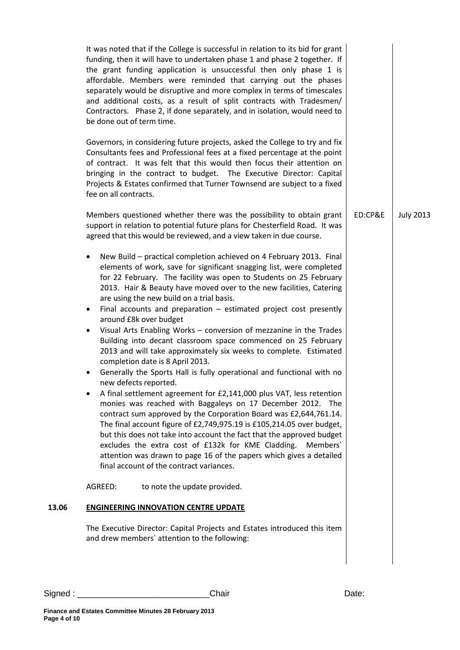|       | It was noted that if the College is successful in relation to its bid for grant<br>funding, then it will have to undertaken phase 1 and phase 2 together. If<br>the grant funding application is unsuccessful then only phase 1 is<br>affordable. Members were reminded that carrying out the phases<br>separately would be disruptive and more complex in terms of timescales<br>and additional costs, as a result of split contracts with Tradesmen/<br>Contractors. Phase 2, if done separately, and in isolation, would need to<br>be done out of term time.                                                                                                                                                                                                                                                                                                                                                                                                                                                                                                                                                                                                                                                                                                                                                                                                         |         |                  |
|-------|--------------------------------------------------------------------------------------------------------------------------------------------------------------------------------------------------------------------------------------------------------------------------------------------------------------------------------------------------------------------------------------------------------------------------------------------------------------------------------------------------------------------------------------------------------------------------------------------------------------------------------------------------------------------------------------------------------------------------------------------------------------------------------------------------------------------------------------------------------------------------------------------------------------------------------------------------------------------------------------------------------------------------------------------------------------------------------------------------------------------------------------------------------------------------------------------------------------------------------------------------------------------------------------------------------------------------------------------------------------------------|---------|------------------|
|       | Governors, in considering future projects, asked the College to try and fix<br>Consultants fees and Professional fees at a fixed percentage at the point<br>of contract. It was felt that this would then focus their attention on<br>bringing in the contract to budget. The Executive Director: Capital<br>Projects & Estates confirmed that Turner Townsend are subject to a fixed<br>fee on all contracts.                                                                                                                                                                                                                                                                                                                                                                                                                                                                                                                                                                                                                                                                                                                                                                                                                                                                                                                                                           |         |                  |
|       | Members questioned whether there was the possibility to obtain grant<br>support in relation to potential future plans for Chesterfield Road. It was<br>agreed that this would be reviewed, and a view taken in due course.                                                                                                                                                                                                                                                                                                                                                                                                                                                                                                                                                                                                                                                                                                                                                                                                                                                                                                                                                                                                                                                                                                                                               | ED:CP&E | <b>July 2013</b> |
|       | New Build - practical completion achieved on 4 February 2013. Final<br>٠<br>elements of work, save for significant snagging list, were completed<br>for 22 February. The facility was open to Students on 25 February<br>2013. Hair & Beauty have moved over to the new facilities, Catering<br>are using the new build on a trial basis.<br>Final accounts and preparation $-$ estimated project cost presently<br>$\bullet$<br>around £8k over budget<br>Visual Arts Enabling Works - conversion of mezzanine in the Trades<br>$\bullet$<br>Building into decant classroom space commenced on 25 February<br>2013 and will take approximately six weeks to complete. Estimated<br>completion date is 8 April 2013.<br>Generally the Sports Hall is fully operational and functional with no<br>new defects reported.<br>A final settlement agreement for £2,141,000 plus VAT, less retention<br>monies was reached with Baggaleys on 17 December 2012. The<br>contract sum approved by the Corporation Board was £2,644,761.14.<br>The final account figure of £2,749,975.19 is £105,214.05 over budget,<br>but this does not take into account the fact that the approved budget<br>excludes the extra cost of £132k for KME Cladding.<br>Members'<br>attention was drawn to page 16 of the papers which gives a detailed<br>final account of the contract variances. |         |                  |
|       | AGREED:<br>to note the update provided.                                                                                                                                                                                                                                                                                                                                                                                                                                                                                                                                                                                                                                                                                                                                                                                                                                                                                                                                                                                                                                                                                                                                                                                                                                                                                                                                  |         |                  |
| 13.06 | <b>ENGINEERING INNOVATION CENTRE UPDATE</b>                                                                                                                                                                                                                                                                                                                                                                                                                                                                                                                                                                                                                                                                                                                                                                                                                                                                                                                                                                                                                                                                                                                                                                                                                                                                                                                              |         |                  |
|       | The Executive Director: Capital Projects and Estates introduced this item<br>and drew members' attention to the following:                                                                                                                                                                                                                                                                                                                                                                                                                                                                                                                                                                                                                                                                                                                                                                                                                                                                                                                                                                                                                                                                                                                                                                                                                                               |         |                  |
|       |                                                                                                                                                                                                                                                                                                                                                                                                                                                                                                                                                                                                                                                                                                                                                                                                                                                                                                                                                                                                                                                                                                                                                                                                                                                                                                                                                                          |         |                  |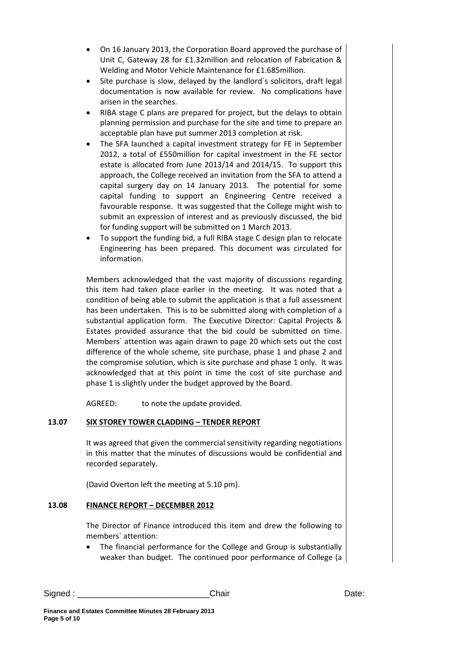- On 16 January 2013, the Corporation Board approved the purchase of Unit C, Gateway 28 for £1.32million and relocation of Fabrication & Welding and Motor Vehicle Maintenance for £1.685million.
- Site purchase is slow, delayed by the landlord's solicitors, draft legal documentation is now available for review. No complications have arisen in the searches.
- RIBA stage C plans are prepared for project, but the delays to obtain planning permission and purchase for the site and time to prepare an acceptable plan have put summer 2013 completion at risk.
- The SFA launched a capital investment strategy for FE in September 2012, a total of £550million for capital investment in the FE sector estate is allocated from June 2013/14 and 2014/15. To support this approach, the College received an invitation from the SFA to attend a capital surgery day on 14 January 2013. The potential for some capital funding to support an Engineering Centre received a favourable response. It was suggested that the College might wish to submit an expression of interest and as previously discussed, the bid for funding support will be submitted on 1 March 2013.
- To support the funding bid, a full RIBA stage C design plan to relocate Engineering has been prepared. This document was circulated for information.

Members acknowledged that the vast majority of discussions regarding this item had taken place earlier in the meeting. It was noted that a condition of being able to submit the application is that a full assessment has been undertaken. This is to be submitted along with completion of a substantial application form. The Executive Director: Capital Projects & Estates provided assurance that the bid could be submitted on time. Members` attention was again drawn to page 20 which sets out the cost difference of the whole scheme, site purchase, phase 1 and phase 2 and the compromise solution, which is site purchase and phase 1 only. It was acknowledged that at this point in time the cost of site purchase and phase 1 is slightly under the budget approved by the Board.

AGREED: to note the update provided.

### **13.07 SIX STOREY TOWER CLADDING – TENDER REPORT**

It was agreed that given the commercial sensitivity regarding negotiations in this matter that the minutes of discussions would be confidential and recorded separately.

(David Overton left the meeting at 5.10 pm).

#### **13.08 FINANCE REPORT – DECEMBER 2012**

The Director of Finance introduced this item and drew the following to members` attention:

• The financial performance for the College and Group is substantially weaker than budget. The continued poor performance of College (a

Signed : \_\_\_\_\_\_\_\_\_\_\_\_\_\_\_\_\_\_\_\_\_\_\_\_\_\_\_\_Chair Date: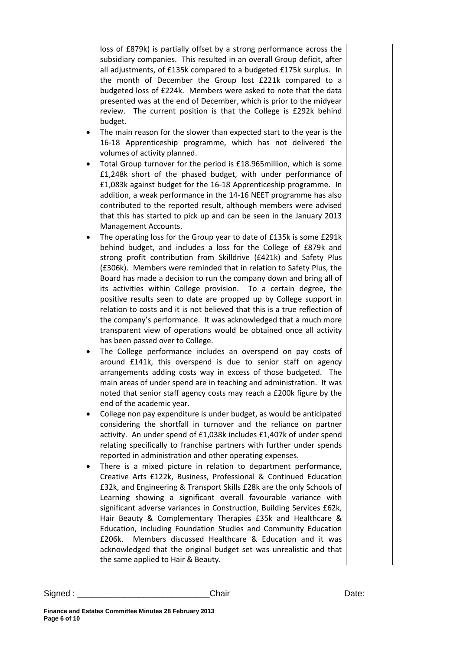loss of £879k) is partially offset by a strong performance across the subsidiary companies. This resulted in an overall Group deficit, after all adjustments, of £135k compared to a budgeted £175k surplus. In the month of December the Group lost £221k compared to a budgeted loss of £224k. Members were asked to note that the data presented was at the end of December, which is prior to the midyear review. The current position is that the College is £292k behind budget.

- The main reason for the slower than expected start to the year is the 16-18 Apprenticeship programme, which has not delivered the volumes of activity planned.
- Total Group turnover for the period is £18.965million, which is some £1,248k short of the phased budget, with under performance of £1,083k against budget for the 16-18 Apprenticeship programme. In addition, a weak performance in the 14-16 NEET programme has also contributed to the reported result, although members were advised that this has started to pick up and can be seen in the January 2013 Management Accounts.
- The operating loss for the Group year to date of £135k is some £291k behind budget, and includes a loss for the College of £879k and strong profit contribution from Skilldrive (£421k) and Safety Plus (£306k). Members were reminded that in relation to Safety Plus, the Board has made a decision to run the company down and bring all of its activities within College provision. To a certain degree, the positive results seen to date are propped up by College support in relation to costs and it is not believed that this is a true reflection of the company's performance. It was acknowledged that a much more transparent view of operations would be obtained once all activity has been passed over to College.
- The College performance includes an overspend on pay costs of around £141k, this overspend is due to senior staff on agency arrangements adding costs way in excess of those budgeted. The main areas of under spend are in teaching and administration. It was noted that senior staff agency costs may reach a £200k figure by the end of the academic year.
- College non pay expenditure is under budget, as would be anticipated considering the shortfall in turnover and the reliance on partner activity. An under spend of £1,038k includes £1,407k of under spend relating specifically to franchise partners with further under spends reported in administration and other operating expenses.
- There is a mixed picture in relation to department performance, Creative Arts £122k, Business, Professional & Continued Education £32k, and Engineering & Transport Skills £28k are the only Schools of Learning showing a significant overall favourable variance with significant adverse variances in Construction, Building Services £62k, Hair Beauty & Complementary Therapies £35k and Healthcare & Education, including Foundation Studies and Community Education £206k. Members discussed Healthcare & Education and it was acknowledged that the original budget set was unrealistic and that the same applied to Hair & Beauty.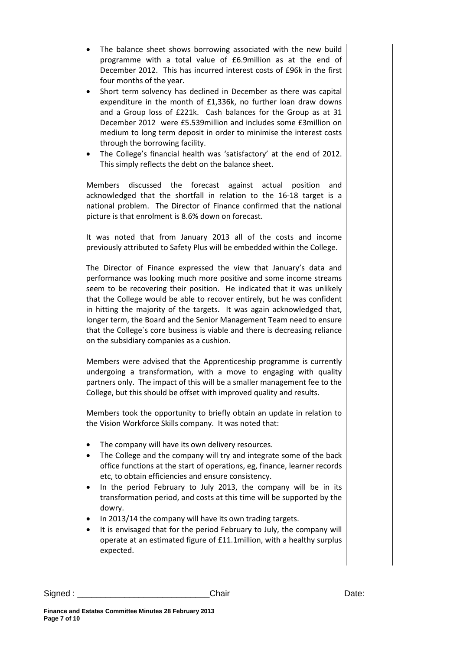- The balance sheet shows borrowing associated with the new build programme with a total value of £6.9million as at the end of December 2012. This has incurred interest costs of £96k in the first four months of the year.
- Short term solvency has declined in December as there was capital expenditure in the month of £1,336k, no further loan draw downs and a Group loss of £221k. Cash balances for the Group as at 31 December 2012 were £5.539million and includes some £3million on medium to long term deposit in order to minimise the interest costs through the borrowing facility.
- The College's financial health was 'satisfactory' at the end of 2012. This simply reflects the debt on the balance sheet.

Members discussed the forecast against actual position and acknowledged that the shortfall in relation to the 16-18 target is a national problem. The Director of Finance confirmed that the national picture is that enrolment is 8.6% down on forecast.

It was noted that from January 2013 all of the costs and income previously attributed to Safety Plus will be embedded within the College.

The Director of Finance expressed the view that January's data and performance was looking much more positive and some income streams seem to be recovering their position. He indicated that it was unlikely that the College would be able to recover entirely, but he was confident in hitting the majority of the targets. It was again acknowledged that, longer term, the Board and the Senior Management Team need to ensure that the College`s core business is viable and there is decreasing reliance on the subsidiary companies as a cushion.

Members were advised that the Apprenticeship programme is currently undergoing a transformation, with a move to engaging with quality partners only. The impact of this will be a smaller management fee to the College, but this should be offset with improved quality and results.

Members took the opportunity to briefly obtain an update in relation to the Vision Workforce Skills company. It was noted that:

- The company will have its own delivery resources.
- The College and the company will try and integrate some of the back office functions at the start of operations, eg, finance, learner records etc, to obtain efficiencies and ensure consistency.
- In the period February to July 2013, the company will be in its transformation period, and costs at this time will be supported by the dowry.
- In 2013/14 the company will have its own trading targets.
- It is envisaged that for the period February to July, the company will operate at an estimated figure of £11.1million, with a healthy surplus expected.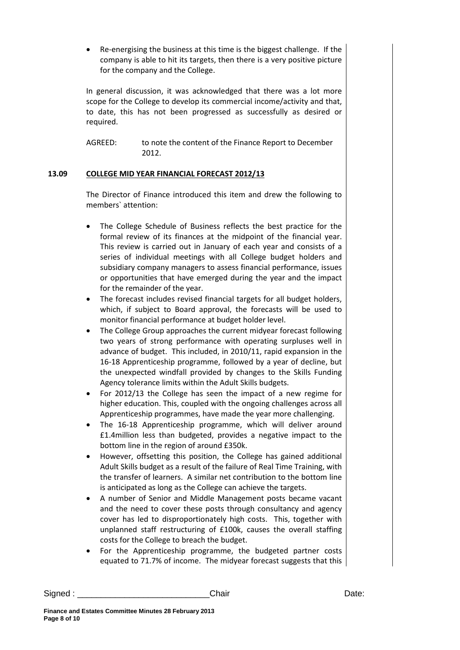• Re-energising the business at this time is the biggest challenge. If the company is able to hit its targets, then there is a very positive picture for the company and the College.

In general discussion, it was acknowledged that there was a lot more scope for the College to develop its commercial income/activity and that, to date, this has not been progressed as successfully as desired or required.

AGREED: to note the content of the Finance Report to December 2012.

### **13.09 COLLEGE MID YEAR FINANCIAL FORECAST 2012/13**

The Director of Finance introduced this item and drew the following to members` attention:

- The College Schedule of Business reflects the best practice for the formal review of its finances at the midpoint of the financial year. This review is carried out in January of each year and consists of a series of individual meetings with all College budget holders and subsidiary company managers to assess financial performance, issues or opportunities that have emerged during the year and the impact for the remainder of the year.
- The forecast includes revised financial targets for all budget holders, which, if subject to Board approval, the forecasts will be used to monitor financial performance at budget holder level.
- The College Group approaches the current midyear forecast following two years of strong performance with operating surpluses well in advance of budget. This included, in 2010/11, rapid expansion in the 16-18 Apprenticeship programme, followed by a year of decline, but the unexpected windfall provided by changes to the Skills Funding Agency tolerance limits within the Adult Skills budgets.
- For 2012/13 the College has seen the impact of a new regime for higher education. This, coupled with the ongoing challenges across all Apprenticeship programmes, have made the year more challenging.
- The 16-18 Apprenticeship programme, which will deliver around £1.4million less than budgeted, provides a negative impact to the bottom line in the region of around £350k.
- However, offsetting this position, the College has gained additional Adult Skills budget as a result of the failure of Real Time Training, with the transfer of learners. A similar net contribution to the bottom line is anticipated as long as the College can achieve the targets.
- A number of Senior and Middle Management posts became vacant and the need to cover these posts through consultancy and agency cover has led to disproportionately high costs. This, together with unplanned staff restructuring of £100k, causes the overall staffing costs for the College to breach the budget.
- For the Apprenticeship programme, the budgeted partner costs equated to 71.7% of income. The midyear forecast suggests that this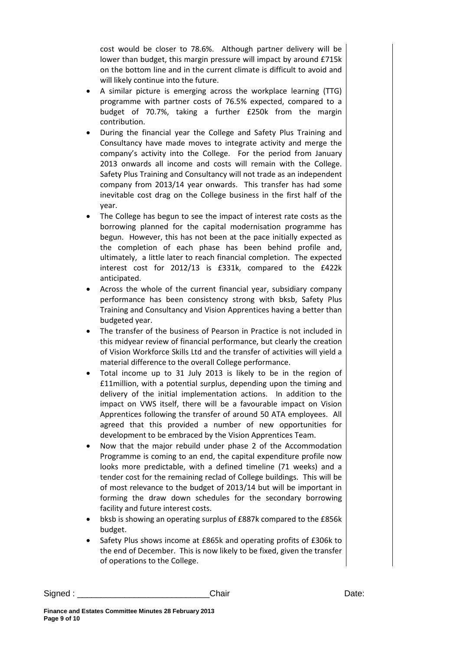cost would be closer to 78.6%. Although partner delivery will be lower than budget, this margin pressure will impact by around £715k on the bottom line and in the current climate is difficult to avoid and will likely continue into the future.

- A similar picture is emerging across the workplace learning (TTG) programme with partner costs of 76.5% expected, compared to a budget of 70.7%, taking a further £250k from the margin contribution.
- During the financial year the College and Safety Plus Training and Consultancy have made moves to integrate activity and merge the company's activity into the College. For the period from January 2013 onwards all income and costs will remain with the College. Safety Plus Training and Consultancy will not trade as an independent company from 2013/14 year onwards. This transfer has had some inevitable cost drag on the College business in the first half of the year.
- The College has begun to see the impact of interest rate costs as the borrowing planned for the capital modernisation programme has begun. However, this has not been at the pace initially expected as the completion of each phase has been behind profile and, ultimately, a little later to reach financial completion. The expected interest cost for 2012/13 is £331k, compared to the £422k anticipated.
- Across the whole of the current financial year, subsidiary company performance has been consistency strong with bksb, Safety Plus Training and Consultancy and Vision Apprentices having a better than budgeted year.
- The transfer of the business of Pearson in Practice is not included in this midyear review of financial performance, but clearly the creation of Vision Workforce Skills Ltd and the transfer of activities will yield a material difference to the overall College performance.
- Total income up to 31 July 2013 is likely to be in the region of £11million, with a potential surplus, depending upon the timing and delivery of the initial implementation actions. In addition to the impact on VWS itself, there will be a favourable impact on Vision Apprentices following the transfer of around 50 ATA employees. All agreed that this provided a number of new opportunities for development to be embraced by the Vision Apprentices Team.
- Now that the major rebuild under phase 2 of the Accommodation Programme is coming to an end, the capital expenditure profile now looks more predictable, with a defined timeline (71 weeks) and a tender cost for the remaining reclad of College buildings. This will be of most relevance to the budget of 2013/14 but will be important in forming the draw down schedules for the secondary borrowing facility and future interest costs.
- bksb is showing an operating surplus of £887k compared to the £856k budget.
- Safety Plus shows income at £865k and operating profits of £306k to the end of December. This is now likely to be fixed, given the transfer of operations to the College.

Signed : \_\_\_\_\_\_\_\_\_\_\_\_\_\_\_\_\_\_\_\_\_\_\_\_\_\_\_\_Chair Date: